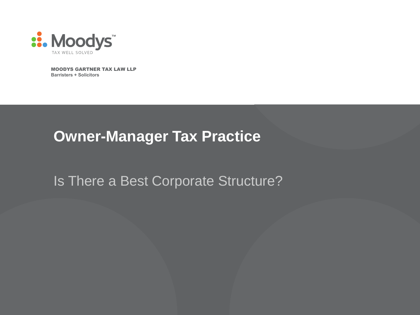

MOODYS GARTNER TAX LAW LLP **Barristers + Solicitors**

## **Owner-Manager Tax Practice**

Is There a Best Corporate Structure?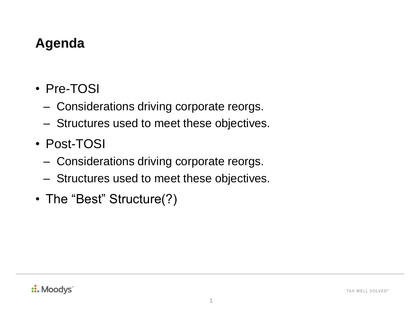#### **Agenda**

- Pre-TOSI
	- ‒ Considerations driving corporate reorgs.
	- ‒ Structures used to meet these objectives.
- Post-TOSI
	- ‒ Considerations driving corporate reorgs.
	- ‒ Structures used to meet these objectives.
- The "Best" Structure(?)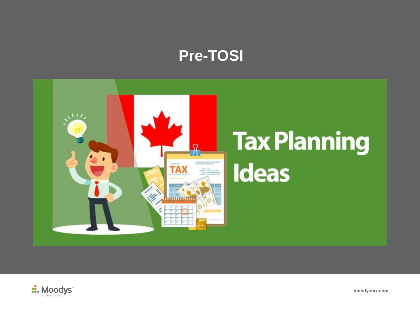#### **Pre-TOSI**





**moodystax.com**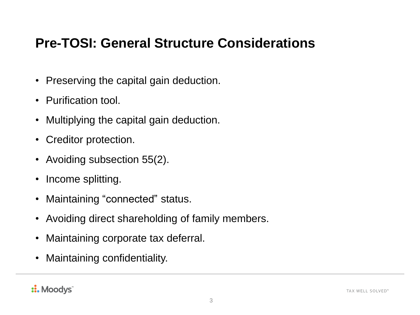#### **Pre-TOSI: General Structure Considerations**

- Preserving the capital gain deduction.
- Purification tool.
- Multiplying the capital gain deduction.
- Creditor protection.
- Avoiding subsection 55(2).
- Income splitting.
- Maintaining "connected" status.
- Avoiding direct shareholding of family members.
- Maintaining corporate tax deferral.
- Maintaining confidentiality.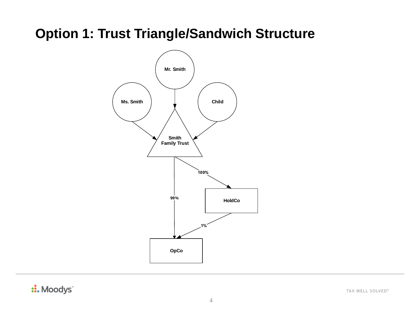### **Option 1: Trust Triangle/Sandwich Structure**



:. Moodys

TAX WELL SOLVED™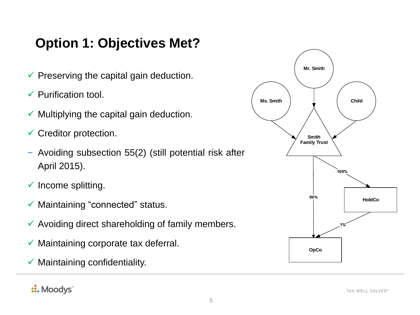## **Option 1: Objectives Met?**

- $\checkmark$  Preserving the capital gain deduction.
- $\checkmark$  Purification tool.
- $\checkmark$  Multiplying the capital gain deduction.
- $\checkmark$  Creditor protection.
- ~ Avoiding subsection 55(2) (still potential risk after April 2015).
- $\checkmark$  Income splitting.
- $\checkmark$  Maintaining "connected" status.
- $\checkmark$  Avoiding direct shareholding of family members.
- $\checkmark$  Maintaining corporate tax deferral.
- $\checkmark$  Maintaining confidentiality.

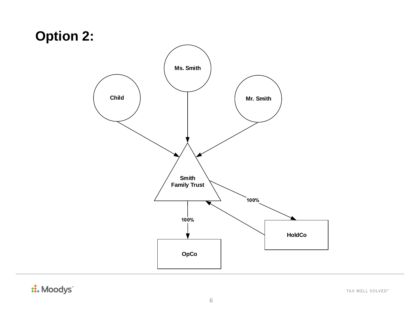## **Option 2:**



:: Moodys

TAX WELL SOLVED™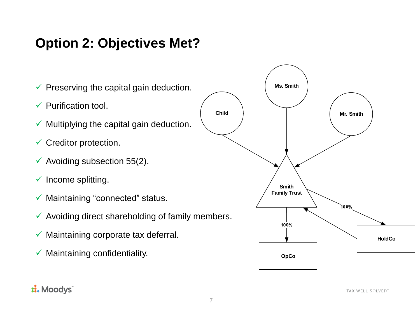### **Option 2: Objectives Met?**

**Ms. Smith** $\checkmark$  Preserving the capital gain deduction.  $\checkmark$  Purification tool. **Child Mr. Smith**  $\checkmark$  Multiplying the capital gain deduction.  $\checkmark$  Creditor protection.  $\checkmark$  Avoiding subsection 55(2).  $\checkmark$  Income splitting. **Smith Family Trust**  $\checkmark$  Maintaining "connected" status. 100%  $\checkmark$  Avoiding direct shareholding of family members. 100%  $\checkmark$  Maintaining corporate tax deferral. **HoldCo**  $\checkmark$  Maintaining confidentiality. **OpCo**

::. Moodys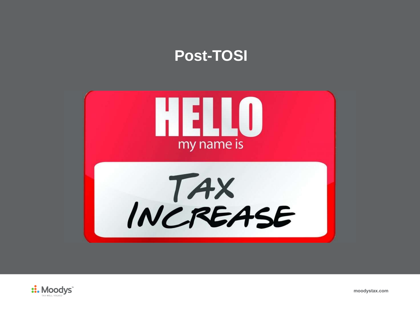## **Post-TOSI**





**moodystax.com**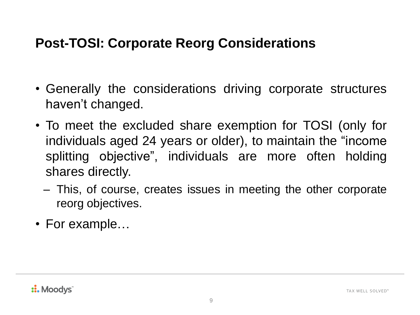#### **Post-TOSI: Corporate Reorg Considerations**

- Generally the considerations driving corporate structures haven't changed.
- To meet the excluded share exemption for TOSI (only for individuals aged 24 years or older), to maintain the "income splitting objective", individuals are more often holding shares directly.
	- ‒ This, of course, creates issues in meeting the other corporate reorg objectives.
- For example...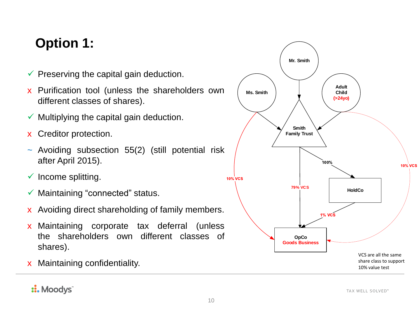## **Option 1:**

- $\checkmark$  Preserving the capital gain deduction.
- x Purification tool (unless the shareholders own different classes of shares).
- $\checkmark$  Multiplying the capital gain deduction.
- x Creditor protection.
- ~ Avoiding subsection 55(2) (still potential risk after April 2015).
- $\checkmark$  Income splitting.
- $\checkmark$  Maintaining "connected" status.
- x Avoiding direct shareholding of family members.
- x Maintaining corporate tax deferral (unless the shareholders own different classes of shares).
- x Maintaining confidentiality.

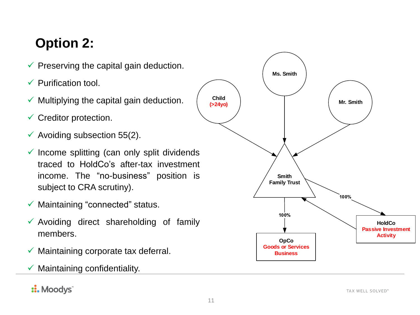# **Option 2:**

- $\checkmark$  Preserving the capital gain deduction.
- $\checkmark$  Purification tool.
- $\checkmark$  Multiplying the capital gain deduction.
- $\checkmark$  Creditor protection.
- $\checkmark$  Avoiding subsection 55(2).
- $\checkmark$  Income splitting (can only split dividends traced to HoldCo's after-tax investment income. The "no-business" position is subject to CRA scrutiny).
- $\checkmark$  Maintaining "connected" status.
- $\checkmark$  Avoiding direct shareholding of family members.
- $\checkmark$  Maintaining corporate tax deferral.
- $\checkmark$  Maintaining confidentiality.

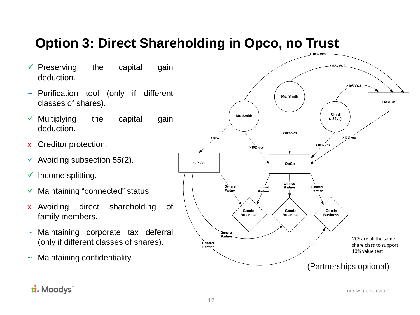## **Option 3: Direct Shareholding in Opco, no Trust**

- $\checkmark$  Preserving the capital gain deduction.
- ~ Purification tool (only if different classes of shares).
- $\checkmark$  Multiplying the capital gain deduction.
- x Creditor protection.
- $\checkmark$  Avoiding subsection 55(2).
- $\checkmark$  Income splitting.
- Maintaining "connected" status.
- x Avoiding direct shareholding of family members.
- Maintaining corporate tax deferral (only if different classes of shares).
- Maintaining confidentiality.

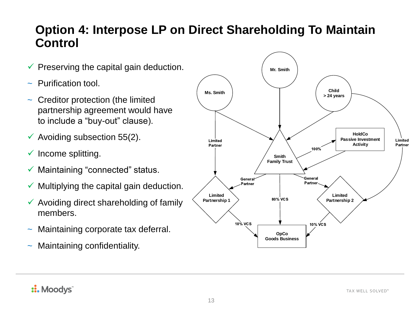#### **Option 4: Interpose LP on Direct Shareholding To Maintain Control**

- $\checkmark$  Preserving the capital gain deduction.
- $\sim$  Purification tool.
- Creditor protection (the limited partnership agreement would have to include a "buy-out" clause).
- $\checkmark$  Avoiding subsection 55(2).
- $\checkmark$  Income splitting.
- $\checkmark$  Maintaining "connected" status.
- $\checkmark$  Multiplying the capital gain deduction.
- $\checkmark$  Avoiding direct shareholding of family members.
- Maintaining corporate tax deferral.
- Maintaining confidentiality.

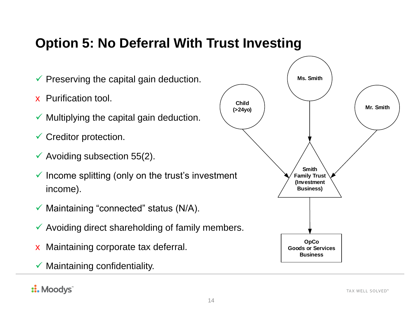#### **Option 5: No Deferral With Trust Investing**

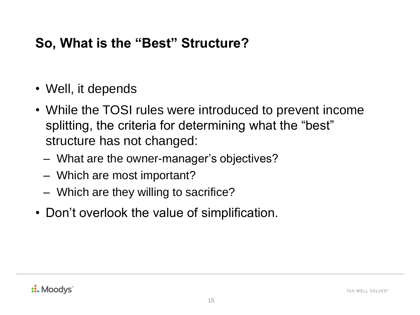#### **So, What is the "Best" Structure?**

- Well, it depends
- While the TOSI rules were introduced to prevent income splitting, the criteria for determining what the "best" structure has not changed:
	- ‒ What are the owner-manager's objectives?
	- ‒ Which are most important?
	- ‒ Which are they willing to sacrifice?
- Don't overlook the value of simplification.